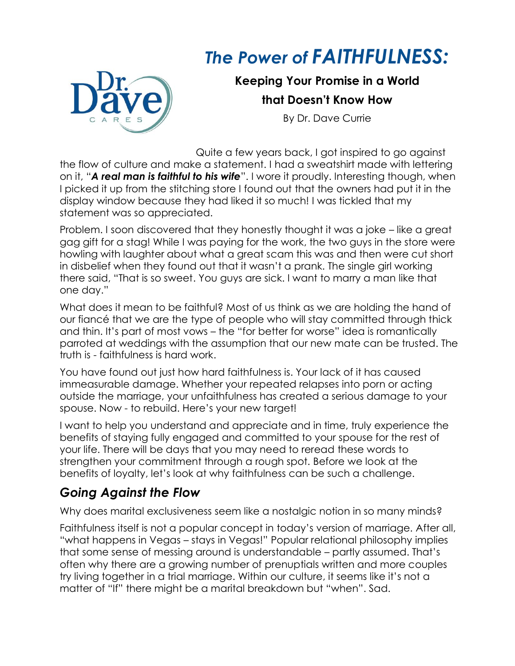## *The Power of FAITHFULNESS:*



**Keeping Your Promise in a World that Doesn't Know How**

By Dr. Dave Currie

Quite a few years back, I got inspired to go against the flow of culture and make a statement. I had a sweatshirt made with lettering on it, "*A real man is faithful to his wife*". I wore it proudly. Interesting though, when I picked it up from the stitching store I found out that the owners had put it in the display window because they had liked it so much! I was tickled that my statement was so appreciated.

Problem. I soon discovered that they honestly thought it was a joke – like a great gag gift for a stag! While I was paying for the work, the two guys in the store were howling with laughter about what a great scam this was and then were cut short in disbelief when they found out that it wasn't a prank. The single girl working there said, "That is so sweet. You guys are sick. I want to marry a man like that one day."

What does it mean to be faithful? Most of us think as we are holding the hand of our fiancé that we are the type of people who will stay committed through thick and thin. It's part of most vows – the "for better for worse" idea is romantically parroted at weddings with the assumption that our new mate can be trusted. The truth is - faithfulness is hard work.

You have found out just how hard faithfulness is. Your lack of it has caused immeasurable damage. Whether your repeated relapses into porn or acting outside the marriage, your unfaithfulness has created a serious damage to your spouse. Now - to rebuild. Here's your new target!

I want to help you understand and appreciate and in time, truly experience the benefits of staying fully engaged and committed to your spouse for the rest of your life. There will be days that you may need to reread these words to strengthen your commitment through a rough spot. Before we look at the benefits of loyalty, let's look at why faithfulness can be such a challenge.

## *Going Against the Flow*

Why does marital exclusiveness seem like a nostalgic notion in so many minds?

Faithfulness itself is not a popular concept in today's version of marriage. After all, "what happens in Vegas – stays in Vegas!" Popular relational philosophy implies that some sense of messing around is understandable – partly assumed. That's often why there are a growing number of prenuptials written and more couples try living together in a trial marriage. Within our culture, it seems like it's not a matter of "If" there might be a marital breakdown but "when". Sad.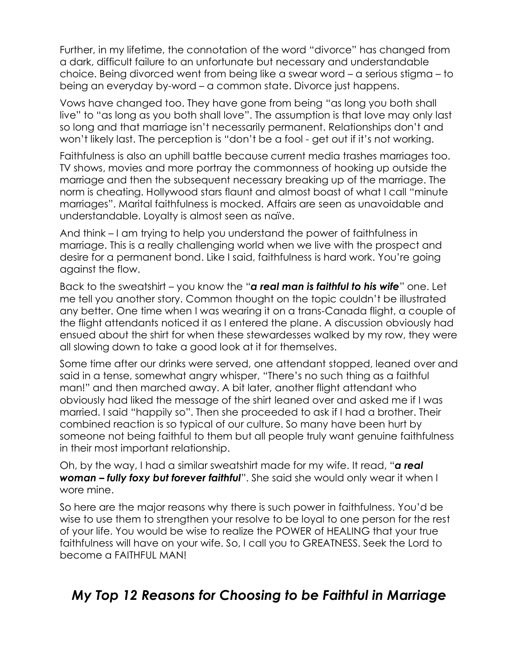Further, in my lifetime, the connotation of the word "divorce" has changed from a dark, difficult failure to an unfortunate but necessary and understandable choice. Being divorced went from being like a swear word – a serious stigma – to being an everyday by-word – a common state. Divorce just happens.

Vows have changed too. They have gone from being "as long you both shall live" to "as long as you both shall love". The assumption is that love may only last so long and that marriage isn't necessarily permanent. Relationships don't and won't likely last. The perception is "don't be a fool - get out if it's not working.

Faithfulness is also an uphill battle because current media trashes marriages too. TV shows, movies and more portray the commonness of hooking up outside the marriage and then the subsequent necessary breaking up of the marriage. The norm is cheating. Hollywood stars flaunt and almost boast of what I call "minute marriages". Marital faithfulness is mocked. Affairs are seen as unavoidable and understandable. Loyalty is almost seen as naïve.

And think – I am trying to help you understand the power of faithfulness in marriage. This is a really challenging world when we live with the prospect and desire for a permanent bond. Like I said, faithfulness is hard work. You're going against the flow.

Back to the sweatshirt – you know the "*a real man is faithful to his wife*" one. Let me tell you another story. Common thought on the topic couldn't be illustrated any better. One time when I was wearing it on a trans-Canada flight, a couple of the flight attendants noticed it as I entered the plane. A discussion obviously had ensued about the shirt for when these stewardesses walked by my row, they were all slowing down to take a good look at it for themselves.

Some time after our drinks were served, one attendant stopped, leaned over and said in a tense, somewhat angry whisper, "There's no such thing as a faithful man!" and then marched away. A bit later, another flight attendant who obviously had liked the message of the shirt leaned over and asked me if I was married. I said "happily so". Then she proceeded to ask if I had a brother. Their combined reaction is so typical of our culture. So many have been hurt by someone not being faithful to them but all people truly want genuine faithfulness in their most important relationship.

Oh, by the way, I had a similar sweatshirt made for my wife. It read, "*a real woman – fully foxy but forever faithful*". She said she would only wear it when I wore mine.

So here are the major reasons why there is such power in faithfulness. You'd be wise to use them to strengthen your resolve to be loyal to one person for the rest of your life. You would be wise to realize the POWER of HEALING that your true faithfulness will have on your wife. So, I call you to GREATNESS. Seek the Lord to become a FAITHFUL MAN!

## *My Top 12 Reasons for Choosing to be Faithful in Marriage*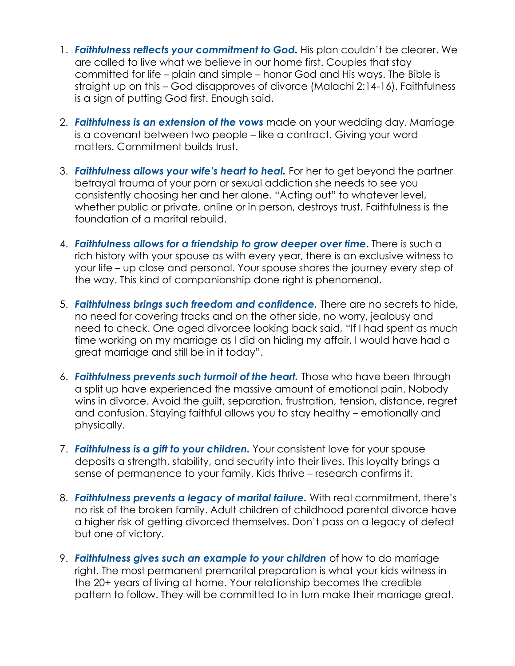- 1. *Faithfulness reflects your commitment to God.* His plan couldn't be clearer. We are called to live what we believe in our home first. Couples that stay committed for life – plain and simple – honor God and His ways. The Bible is straight up on this – God disapproves of divorce (Malachi 2:14-16). Faithfulness is a sign of putting God first. Enough said.
- 2. *Faithfulness is an extension of the vows* made on your wedding day. Marriage is a covenant between two people – like a contract. Giving your word matters. Commitment builds trust.
- 3. *Faithfulness allows your wife's heart to heal.* For her to get beyond the partner betrayal trauma of your porn or sexual addiction she needs to see you consistently choosing her and her alone. "Acting out" to whatever level, whether public or private, online or in person, destroys trust. Faithfulness is the foundation of a marital rebuild.
- 4. *Faithfulness allows for a friendship to grow deeper over time*. There is such a rich history with your spouse as with every year, there is an exclusive witness to your life – up close and personal. Your spouse shares the journey every step of the way. This kind of companionship done right is phenomenal.
- 5. *Faithfulness brings such freedom and confidence.* There are no secrets to hide, no need for covering tracks and on the other side, no worry, jealousy and need to check. One aged divorcee looking back said, "If I had spent as much time working on my marriage as I did on hiding my affair, I would have had a great marriage and still be in it today".
- 6. *Faithfulness prevents such turmoil of the heart.* Those who have been through a split up have experienced the massive amount of emotional pain. Nobody wins in divorce. Avoid the guilt, separation, frustration, tension, distance, regret and confusion. Staying faithful allows you to stay healthy – emotionally and physically.
- 7. *Faithfulness is a gift to your children.* Your consistent love for your spouse deposits a strength, stability, and security into their lives. This loyalty brings a sense of permanence to your family. Kids thrive – research confirms it.
- 8. *Faithfulness prevents a legacy of marital failure.* With real commitment, there's no risk of the broken family. Adult children of childhood parental divorce have a higher risk of getting divorced themselves. Don't pass on a legacy of defeat but one of victory.
- 9. *Faithfulness gives such an example to your children* of how to do marriage right. The most permanent premarital preparation is what your kids witness in the 20+ years of living at home. Your relationship becomes the credible pattern to follow. They will be committed to in turn make their marriage great.